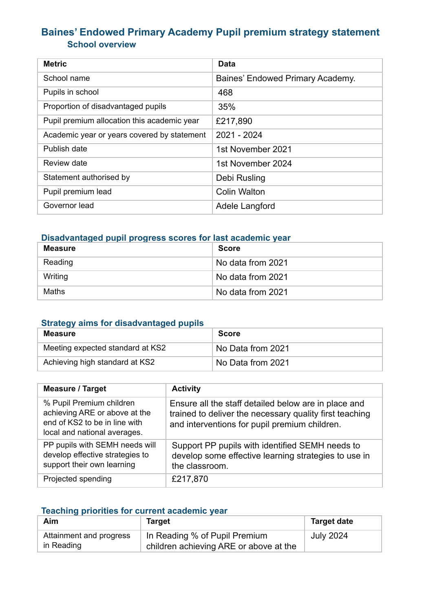# **Baines' Endowed Primary Academy Pupil premium strategy statement School overview**

| <b>Metric</b>                               | Data                             |
|---------------------------------------------|----------------------------------|
| School name                                 | Baines' Endowed Primary Academy. |
| Pupils in school                            | 468                              |
| Proportion of disadvantaged pupils          | 35%                              |
| Pupil premium allocation this academic year | £217,890                         |
| Academic year or years covered by statement | 2021 - 2024                      |
| Publish date                                | 1st November 2021                |
| Review date                                 | 1st November 2024                |
| Statement authorised by                     | Debi Rusling                     |
| Pupil premium lead                          | <b>Colin Walton</b>              |
| Governor lead                               | Adele Langford                   |

# **Disadvantaged pupil progress scores for last academic year**

| <b>Measure</b> | <b>Score</b>      |
|----------------|-------------------|
| Reading        | No data from 2021 |
| Writing        | No data from 2021 |
| Maths          | No data from 2021 |

#### **Strategy aims for disadvantaged pupils**

| <b>Measure</b>                   | <b>Score</b>      |
|----------------------------------|-------------------|
| Meeting expected standard at KS2 | No Data from 2021 |
| Achieving high standard at KS2   | No Data from 2021 |

| <b>Measure / Target</b>                                                                                                    | <b>Activity</b>                                                                                                                                                  |
|----------------------------------------------------------------------------------------------------------------------------|------------------------------------------------------------------------------------------------------------------------------------------------------------------|
| % Pupil Premium children<br>achieving ARE or above at the<br>end of KS2 to be in line with<br>local and national averages. | Ensure all the staff detailed below are in place and<br>trained to deliver the necessary quality first teaching<br>and interventions for pupil premium children. |
| PP pupils with SEMH needs will<br>develop effective strategies to<br>support their own learning                            | Support PP pupils with identified SEMH needs to<br>develop some effective learning strategies to use in<br>the classroom.                                        |
| Projected spending                                                                                                         | £217,870                                                                                                                                                         |

# **Teaching priorities for current academic year**

| Aim                                   | Target                                                                  | <b>Target date</b> |
|---------------------------------------|-------------------------------------------------------------------------|--------------------|
| Attainment and progress<br>in Reading | In Reading % of Pupil Premium<br>children achieving ARE or above at the | <b>July 2024</b>   |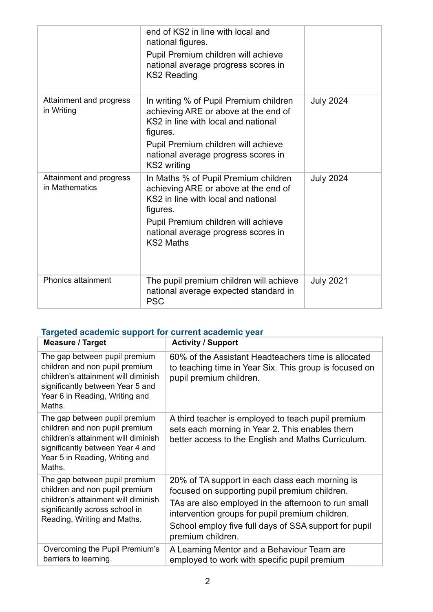|                                           | end of KS2 in line with local and<br>national figures.<br>Pupil Premium children will achieve<br>national average progress scores in<br><b>KS2 Reading</b>                                                                        |                  |
|-------------------------------------------|-----------------------------------------------------------------------------------------------------------------------------------------------------------------------------------------------------------------------------------|------------------|
| Attainment and progress<br>in Writing     | In writing % of Pupil Premium children<br>achieving ARE or above at the end of<br>KS2 in line with local and national<br>figures.<br>Pupil Premium children will achieve<br>national average progress scores in<br>KS2 writing    | <b>July 2024</b> |
| Attainment and progress<br>in Mathematics | In Maths % of Pupil Premium children<br>achieving ARE or above at the end of<br>KS2 in line with local and national<br>figures.<br>Pupil Premium children will achieve<br>national average progress scores in<br><b>KS2 Maths</b> | <b>July 2024</b> |
| <b>Phonics attainment</b>                 | The pupil premium children will achieve<br>national average expected standard in<br><b>PSC</b>                                                                                                                                    | <b>July 2021</b> |

### **Targeted academic support for current academic year**

| <b>Measure / Target</b>                                                                                                                                                                | <b>Activity / Support</b>                                                                                                                                  |
|----------------------------------------------------------------------------------------------------------------------------------------------------------------------------------------|------------------------------------------------------------------------------------------------------------------------------------------------------------|
| The gap between pupil premium<br>children and non pupil premium<br>children's attainment will diminish<br>significantly between Year 5 and<br>Year 6 in Reading, Writing and<br>Maths. | 60% of the Assistant Headteachers time is allocated<br>to teaching time in Year Six. This group is focused on<br>pupil premium children.                   |
| The gap between pupil premium<br>children and non pupil premium<br>children's attainment will diminish<br>significantly between Year 4 and<br>Year 5 in Reading, Writing and<br>Maths. | A third teacher is employed to teach pupil premium<br>sets each morning in Year 2. This enables them<br>better access to the English and Maths Curriculum. |
| The gap between pupil premium<br>children and non pupil premium<br>children's attainment will diminish<br>significantly across school in<br>Reading, Writing and Maths.                | 20% of TA support in each class each morning is<br>focused on supporting pupil premium children.                                                           |
|                                                                                                                                                                                        | TAs are also employed in the afternoon to run small<br>intervention groups for pupil premium children.                                                     |
|                                                                                                                                                                                        | School employ five full days of SSA support for pupil<br>premium children.                                                                                 |
| Overcoming the Pupil Premium's<br>barriers to learning.                                                                                                                                | A Learning Mentor and a Behaviour Team are<br>employed to work with specific pupil premium                                                                 |